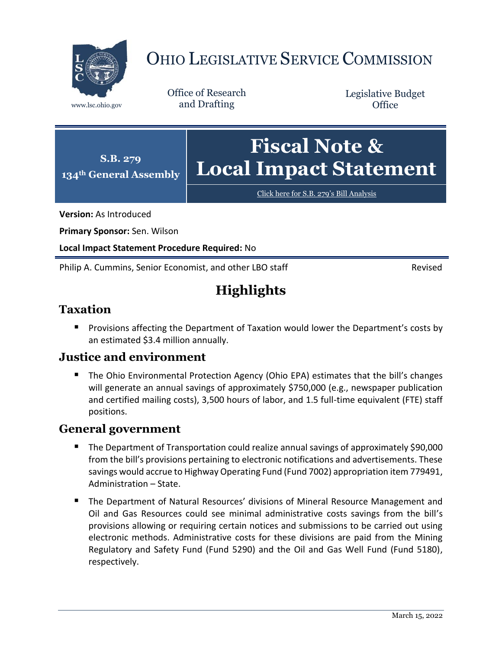

# OHIO LEGISLATIVE SERVICE COMMISSION

Office of Research www.lsc.ohio.gov and Drafting

Legislative Budget **Office** 



[Click here for S.B. 279](https://www.legislature.ohio.gov/legislation/legislation-documents?id=GA134-SB-279)'s Bill Analysis

**Version:** As Introduced

**Primary Sponsor:** Sen. Wilson

**Local Impact Statement Procedure Required:** No

Philip A. Cummins, Senior Economist, and other LBO staff **Revised** Revised

# **Highlights**

## **Taxation**

**Provisions affecting the Department of Taxation would lower the Department's costs by** an estimated \$3.4 million annually.

### **Justice and environment**

 The Ohio Environmental Protection Agency (Ohio EPA) estimates that the bill's changes will generate an annual savings of approximately \$750,000 (e.g., newspaper publication and certified mailing costs), 3,500 hours of labor, and 1.5 full-time equivalent (FTE) staff positions.

### **General government**

- The Department of Transportation could realize annual savings of approximately \$90,000 from the bill's provisions pertaining to electronic notifications and advertisements. These savings would accrue to Highway Operating Fund (Fund 7002) appropriation item 779491, Administration – State.
- The Department of Natural Resources' divisions of Mineral Resource Management and Oil and Gas Resources could see minimal administrative costs savings from the bill's provisions allowing or requiring certain notices and submissions to be carried out using electronic methods. Administrative costs for these divisions are paid from the Mining Regulatory and Safety Fund (Fund 5290) and the Oil and Gas Well Fund (Fund 5180), respectively.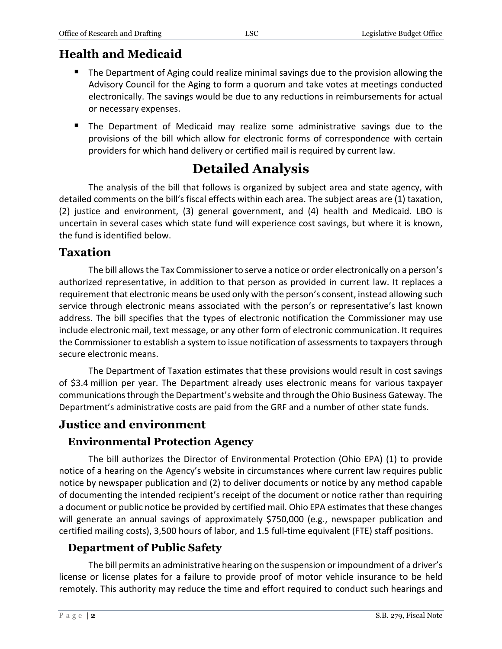# **Health and Medicaid**

- **The Department of Aging could realize minimal savings due to the provision allowing the** Advisory Council for the Aging to form a quorum and take votes at meetings conducted electronically. The savings would be due to any reductions in reimbursements for actual or necessary expenses.
- The Department of Medicaid may realize some administrative savings due to the provisions of the bill which allow for electronic forms of correspondence with certain providers for which hand delivery or certified mail is required by current law.

# **Detailed Analysis**

The analysis of the bill that follows is organized by subject area and state agency, with detailed comments on the bill's fiscal effects within each area. The subject areas are (1) taxation, (2) justice and environment, (3) general government, and (4) health and Medicaid. LBO is uncertain in several cases which state fund will experience cost savings, but where it is known, the fund is identified below.

## **Taxation**

The bill allows the Tax Commissioner to serve a notice or order electronically on a person's authorized representative, in addition to that person as provided in current law. It replaces a requirement that electronic means be used only with the person's consent, instead allowing such service through electronic means associated with the person's or representative's last known address. The bill specifies that the types of electronic notification the Commissioner may use include electronic mail, text message, or any other form of electronic communication. It requires the Commissioner to establish a system to issue notification of assessments to taxpayers through secure electronic means.

The Department of Taxation estimates that these provisions would result in cost savings of \$3.4 million per year. The Department already uses electronic means for various taxpayer communicationsthrough the Department's website and through the Ohio Business Gateway. The Department's administrative costs are paid from the GRF and a number of other state funds.

# **Justice and environment**

# **Environmental Protection Agency**

The bill authorizes the Director of Environmental Protection (Ohio EPA) (1) to provide notice of a hearing on the Agency's website in circumstances where current law requires public notice by newspaper publication and (2) to deliver documents or notice by any method capable of documenting the intended recipient's receipt of the document or notice rather than requiring a document or public notice be provided by certified mail. Ohio EPA estimates that these changes will generate an annual savings of approximately \$750,000 (e.g., newspaper publication and certified mailing costs), 3,500 hours of labor, and 1.5 full-time equivalent (FTE) staff positions.

# **Department of Public Safety**

The bill permits an administrative hearing on the suspension or impoundment of a driver's license or license plates for a failure to provide proof of motor vehicle insurance to be held remotely. This authority may reduce the time and effort required to conduct such hearings and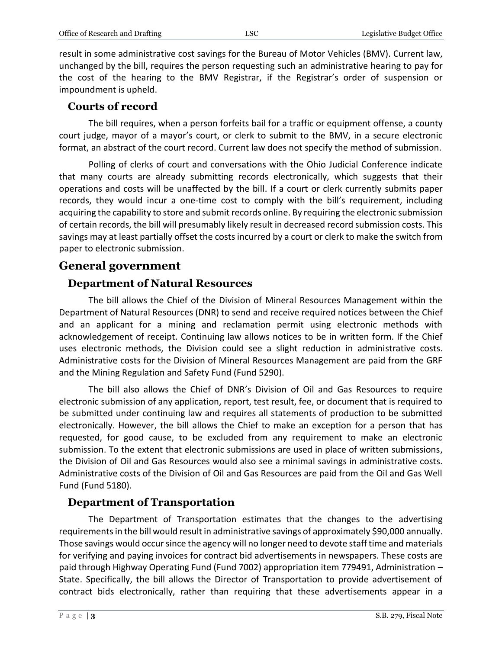result in some administrative cost savings for the Bureau of Motor Vehicles (BMV). Current law, unchanged by the bill, requires the person requesting such an administrative hearing to pay for the cost of the hearing to the BMV Registrar, if the Registrar's order of suspension or impoundment is upheld.

#### **Courts of record**

The bill requires, when a person forfeits bail for a traffic or equipment offense, a county court judge, mayor of a mayor's court, or clerk to submit to the BMV, in a secure electronic format, an abstract of the court record. Current law does not specify the method of submission.

Polling of clerks of court and conversations with the Ohio Judicial Conference indicate that many courts are already submitting records electronically, which suggests that their operations and costs will be unaffected by the bill. If a court or clerk currently submits paper records, they would incur a one-time cost to comply with the bill's requirement, including acquiring the capability to store and submit records online. By requiring the electronic submission of certain records, the bill will presumably likely result in decreased record submission costs. This savings may at least partially offset the costs incurred by a court or clerk to make the switch from paper to electronic submission.

# **General government**

### **Department of Natural Resources**

The bill allows the Chief of the Division of Mineral Resources Management within the Department of Natural Resources (DNR) to send and receive required notices between the Chief and an applicant for a mining and reclamation permit using electronic methods with acknowledgement of receipt. Continuing law allows notices to be in written form. If the Chief uses electronic methods, the Division could see a slight reduction in administrative costs. Administrative costs for the Division of Mineral Resources Management are paid from the GRF and the Mining Regulation and Safety Fund (Fund 5290).

The bill also allows the Chief of DNR's Division of Oil and Gas Resources to require electronic submission of any application, report, test result, fee, or document that is required to be submitted under continuing law and requires all statements of production to be submitted electronically. However, the bill allows the Chief to make an exception for a person that has requested, for good cause, to be excluded from any requirement to make an electronic submission. To the extent that electronic submissions are used in place of written submissions, the Division of Oil and Gas Resources would also see a minimal savings in administrative costs. Administrative costs of the Division of Oil and Gas Resources are paid from the Oil and Gas Well Fund (Fund 5180).

### **Department of Transportation**

The Department of Transportation estimates that the changes to the advertising requirements in the bill would result in administrative savings of approximately \$90,000 annually. Those savings would occur since the agency will no longer need to devote staff time and materials for verifying and paying invoices for contract bid advertisements in newspapers. These costs are paid through Highway Operating Fund (Fund 7002) appropriation item 779491, Administration – State. Specifically, the bill allows the Director of Transportation to provide advertisement of contract bids electronically, rather than requiring that these advertisements appear in a